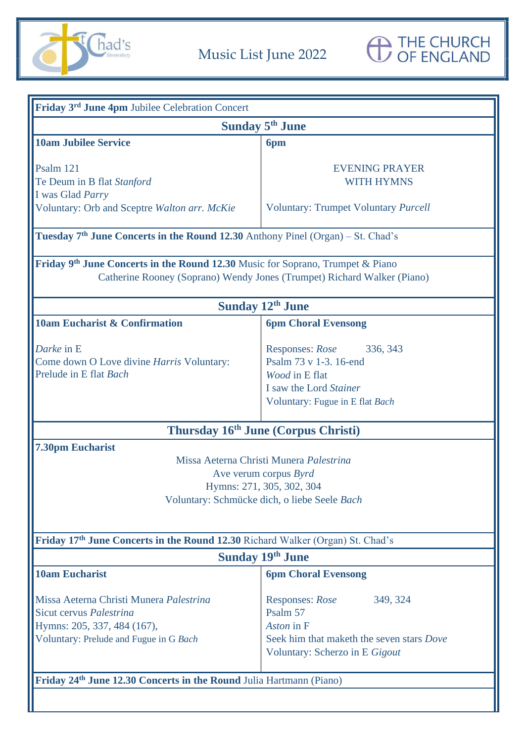

| <b>Sunday 5<sup>th</sup> June</b><br><b>10am Jubilee Service</b><br>6pm<br>Psalm 121<br><b>EVENING PRAYER</b><br><b>WITH HYMNS</b><br>Te Deum in B flat Stanford<br>I was Glad Parry<br>Voluntary: Orb and Sceptre Walton arr. McKie<br><b>Voluntary: Trumpet Voluntary Purcell</b><br><b>Tuesday 7th June Concerts in the Round 12.30</b> Anthony Pinel (Organ) – St. Chad's<br>Friday 9 <sup>th</sup> June Concerts in the Round 12.30 Music for Soprano, Trumpet & Piano<br>Catherine Rooney (Soprano) Wendy Jones (Trumpet) Richard Walker (Piano) |  |  |  |
|--------------------------------------------------------------------------------------------------------------------------------------------------------------------------------------------------------------------------------------------------------------------------------------------------------------------------------------------------------------------------------------------------------------------------------------------------------------------------------------------------------------------------------------------------------|--|--|--|
|                                                                                                                                                                                                                                                                                                                                                                                                                                                                                                                                                        |  |  |  |
|                                                                                                                                                                                                                                                                                                                                                                                                                                                                                                                                                        |  |  |  |
|                                                                                                                                                                                                                                                                                                                                                                                                                                                                                                                                                        |  |  |  |
|                                                                                                                                                                                                                                                                                                                                                                                                                                                                                                                                                        |  |  |  |
|                                                                                                                                                                                                                                                                                                                                                                                                                                                                                                                                                        |  |  |  |
|                                                                                                                                                                                                                                                                                                                                                                                                                                                                                                                                                        |  |  |  |
|                                                                                                                                                                                                                                                                                                                                                                                                                                                                                                                                                        |  |  |  |
|                                                                                                                                                                                                                                                                                                                                                                                                                                                                                                                                                        |  |  |  |
|                                                                                                                                                                                                                                                                                                                                                                                                                                                                                                                                                        |  |  |  |
| <b>Sunday 12th June</b>                                                                                                                                                                                                                                                                                                                                                                                                                                                                                                                                |  |  |  |
| 10am Eucharist & Confirmation<br><b>6pm Choral Evensong</b>                                                                                                                                                                                                                                                                                                                                                                                                                                                                                            |  |  |  |
| Darke in E<br>Responses: Rose<br>336, 343                                                                                                                                                                                                                                                                                                                                                                                                                                                                                                              |  |  |  |
| Psalm 73 v 1-3. 16-end<br>Come down O Love divine Harris Voluntary:                                                                                                                                                                                                                                                                                                                                                                                                                                                                                    |  |  |  |
| Prelude in E flat Bach<br>Wood in E flat                                                                                                                                                                                                                                                                                                                                                                                                                                                                                                               |  |  |  |
| I saw the Lord Stainer                                                                                                                                                                                                                                                                                                                                                                                                                                                                                                                                 |  |  |  |
| Voluntary: Fugue in E flat Bach                                                                                                                                                                                                                                                                                                                                                                                                                                                                                                                        |  |  |  |
| Thursday 16th June (Corpus Christi)                                                                                                                                                                                                                                                                                                                                                                                                                                                                                                                    |  |  |  |
| <b>7.30pm Eucharist</b>                                                                                                                                                                                                                                                                                                                                                                                                                                                                                                                                |  |  |  |
| Missa Aeterna Christi Munera Palestrina                                                                                                                                                                                                                                                                                                                                                                                                                                                                                                                |  |  |  |
| Ave verum corpus Byrd                                                                                                                                                                                                                                                                                                                                                                                                                                                                                                                                  |  |  |  |
| Hymns: 271, 305, 302, 304                                                                                                                                                                                                                                                                                                                                                                                                                                                                                                                              |  |  |  |
| Voluntary: Schmücke dich, o liebe Seele Bach                                                                                                                                                                                                                                                                                                                                                                                                                                                                                                           |  |  |  |
|                                                                                                                                                                                                                                                                                                                                                                                                                                                                                                                                                        |  |  |  |
| Friday 17th June Concerts in the Round 12.30 Richard Walker (Organ) St. Chad's                                                                                                                                                                                                                                                                                                                                                                                                                                                                         |  |  |  |
| <b>Sunday 19th June</b>                                                                                                                                                                                                                                                                                                                                                                                                                                                                                                                                |  |  |  |
| <b>10am Eucharist</b><br><b>6pm Choral Evensong</b>                                                                                                                                                                                                                                                                                                                                                                                                                                                                                                    |  |  |  |
| Missa Aeterna Christi Munera Palestrina<br>Responses: Rose<br>349, 324                                                                                                                                                                                                                                                                                                                                                                                                                                                                                 |  |  |  |
| Sicut cervus Palestrina<br>Psalm 57                                                                                                                                                                                                                                                                                                                                                                                                                                                                                                                    |  |  |  |
| Hymns: 205, 337, 484 (167),<br>Aston in F                                                                                                                                                                                                                                                                                                                                                                                                                                                                                                              |  |  |  |
| Voluntary: Prelude and Fugue in G Bach<br>Seek him that maketh the seven stars Dove                                                                                                                                                                                                                                                                                                                                                                                                                                                                    |  |  |  |
| Voluntary: Scherzo in E Gigout                                                                                                                                                                                                                                                                                                                                                                                                                                                                                                                         |  |  |  |
| Friday 24 <sup>th</sup> June 12.30 Concerts in the Round Julia Hartmann (Piano)                                                                                                                                                                                                                                                                                                                                                                                                                                                                        |  |  |  |
|                                                                                                                                                                                                                                                                                                                                                                                                                                                                                                                                                        |  |  |  |